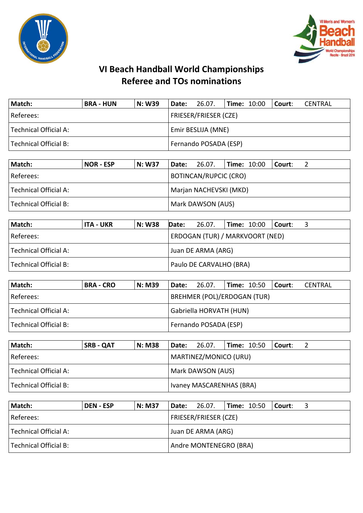



## **VI Beach Handball World Championships Referee and TOs nominations**

| Match:                | <b>BRA - HUN</b> | N: W39 | Date: 26.07.              |  | <b>Time: 10:00</b> |  | Court: | CENTRAL |
|-----------------------|------------------|--------|---------------------------|--|--------------------|--|--------|---------|
| Referees:             |                  |        | FRIESER/FRIESER (CZE)     |  |                    |  |        |         |
| Technical Official A: |                  |        | <b>Emir BESLIJA (MNE)</b> |  |                    |  |        |         |
| Technical Official B: |                  |        | Fernando POSADA (ESP)     |  |                    |  |        |         |

| Match:                | <b>NOR - ESP</b> | <b>N: W37</b> | Date:                  | 26.07.                       | <b>Time: <math>10:00</math></b> | l Court: l |  |  |  |
|-----------------------|------------------|---------------|------------------------|------------------------------|---------------------------------|------------|--|--|--|
| Referees:             |                  |               |                        | <b>BOTINCAN/RUPCIC (CRO)</b> |                                 |            |  |  |  |
| Technical Official A: |                  |               | Marjan NACHEVSKI (MKD) |                              |                                 |            |  |  |  |
| Technical Official B: |                  |               | Mark DAWSON (AUS)      |                              |                                 |            |  |  |  |

| Match:                | ITA - UKR | <b>N: W38</b> | Date:                           | 26.07. |  | $ Time: 10:00$ $ Counter:$ |  |  |  |
|-----------------------|-----------|---------------|---------------------------------|--------|--|----------------------------|--|--|--|
| Referees:             |           |               | ERDOGAN (TUR) / MARKVOORT (NED) |        |  |                            |  |  |  |
| Technical Official A: |           |               | Juan DE ARMA (ARG)              |        |  |                            |  |  |  |
| Technical Official B: |           |               | Paulo DE CARVALHO (BRA)         |        |  |                            |  |  |  |

| Match:                | <b>BRA - CRO</b> | <b>N: M39</b> | Date:                              | 26.07. | <b>Time: 10:50</b> |  | l Court: | CENTRAL |  |
|-----------------------|------------------|---------------|------------------------------------|--------|--------------------|--|----------|---------|--|
| l Referees:           |                  |               | <b>BREHMER (POL)/ERDOGAN (TUR)</b> |        |                    |  |          |         |  |
| Technical Official A: |                  |               | Gabriella HORVATH (HUN)            |        |                    |  |          |         |  |
| Technical Official B: |                  |               | Fernando POSADA (ESP)              |        |                    |  |          |         |  |

| Match:                | <b>SRB - QAT</b> | <b>N: M38</b> | Date:                    | 26.07.                | $l$ Time: $10:50$ |  | Court: |  |
|-----------------------|------------------|---------------|--------------------------|-----------------------|-------------------|--|--------|--|
| Referees:             |                  |               |                          | MARTINEZ/MONICO (URU) |                   |  |        |  |
| Technical Official A: |                  |               | Mark DAWSON (AUS)        |                       |                   |  |        |  |
| Technical Official B: |                  |               | Ivaney MASCARENHAS (BRA) |                       |                   |  |        |  |

| Match:                | <b>DEN - ESP</b> | <b>N: M37</b> | Date:                  | 26.07.                | <b>Time: 10:50</b> |  | l Court: |  |  |
|-----------------------|------------------|---------------|------------------------|-----------------------|--------------------|--|----------|--|--|
| Referees:             |                  |               |                        | FRIESER/FRIESER (CZE) |                    |  |          |  |  |
| Technical Official A: |                  |               | Juan DE ARMA (ARG)     |                       |                    |  |          |  |  |
| Technical Official B: |                  |               | Andre MONTENEGRO (BRA) |                       |                    |  |          |  |  |